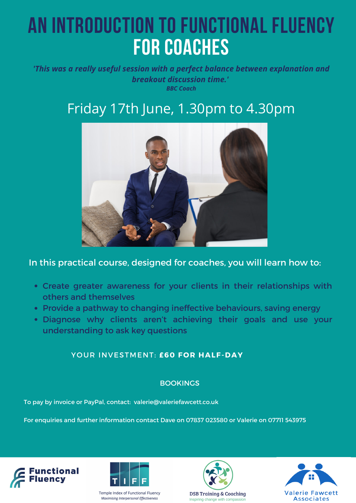# **An introduction to functional fluency for coaches**

*'This was a really useful session with a perfect balance between explanation and breakout discussion time.' BBC Coach*

# Friday 17th June, 1.30pm to 4.30pm



## In this practical course, designed for coaches, you will learn how to:

- Create greater awareness for your clients in their relationships with others and themselves
- Provide a pathway to changing ineffective behaviours, saving energy
- Diagnose why clients aren't achieving their goals and use your understanding to ask key questions

### **YOUR INVESTMENT: £60 FOR HALF-DAY**

#### BOOKINGS

To pay by invoice or PayPal, contact: valerie@valeriefawcett.co.uk

For enquiries and further information contact Dave on 07837 023580 or Valerie on 07711 543975